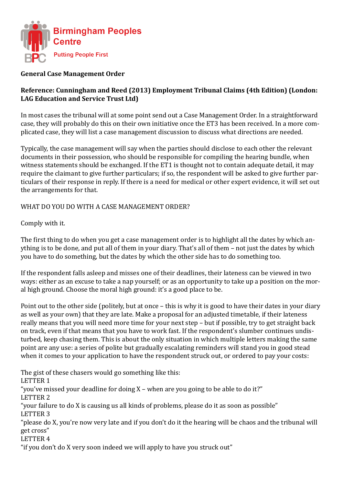

## **General Case Management Order**

## **Reference: Cunningham and Reed (2013) Employment Tribunal Claims (4th Edition) (London: LAG Education and Service Trust Ltd)**

In most cases the tribunal will at some point send out a Case Management Order. In a straightforward case, they will probably do this on their own initiative once the ET3 has been received. In a more complicated case, they will list a case management discussion to discuss what directions are needed.

Typically, the case management will say when the parties should disclose to each other the relevant documents in their possession, who should be responsible for compiling the hearing bundle, when witness statements should be exchanged. If the ET1 is thought not to contain adequate detail, it may require the claimant to give further particulars; if so, the respondent will be asked to give further particulars of their response in reply. If there is a need for medical or other expert evidence, it will set out the arrangements for that.

## WHAT DO YOU DO WITH A CASE MANAGEMENT ORDER?

Comply with it.

The first thing to do when you get a case management order is to highlight all the dates by which anything is to be done, and put all of them in your diary. That's all of them – not just the dates by which you have to do something, but the dates by which the other side has to do something too.

If the respondent falls asleep and misses one of their deadlines, their lateness can be viewed in two ways: either as an excuse to take a nap yourself; or as an opportunity to take up a position on the moral high ground. Choose the moral high ground: it's a good place to be.

Point out to the other side (politely, but at once – this is why it is good to have their dates in your diary as well as your own) that they are late. Make a proposal for an adjusted timetable, if their lateness really means that you will need more time for your next step – but if possible, try to get straight back on track, even if that means that you have to work fast. If the respondent's slumber continues undisturbed, keep chasing them. This is about the only situation in which multiple letters making the same point are any use: a series of polite but gradually escalating reminders will stand you in good stead when it comes to your application to have the respondent struck out, or ordered to pay your costs:

The gist of these chasers would go something like this: LETTER 1 "you've missed your deadline for doing X – when are you going to be able to do it?" LETTER 2 "your failure to do X is causing us all kinds of problems, please do it as soon as possible" LETTER 3 "please do X, you're now very late and if you don't do it the hearing will be chaos and the tribunal will get cross" LETTER 4 "if you don't do X very soon indeed we will apply to have you struck out"